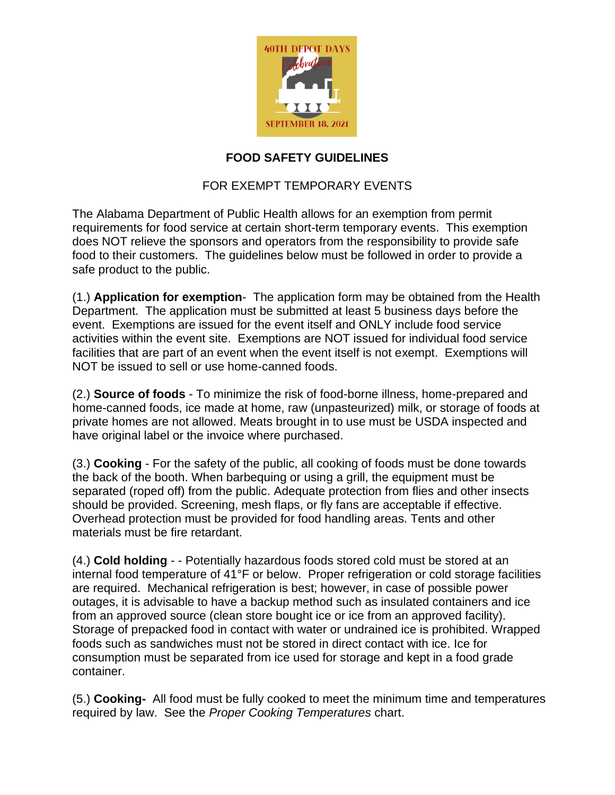

### **FOOD SAFETY GUIDELINES**

## FOR EXEMPT TEMPORARY EVENTS

The Alabama Department of Public Health allows for an exemption from permit requirements for food service at certain short-term temporary events. This exemption does NOT relieve the sponsors and operators from the responsibility to provide safe food to their customers. The guidelines below must be followed in order to provide a safe product to the public.

(1.) **Application for exemption**- The application form may be obtained from the Health Department. The application must be submitted at least 5 business days before the event. Exemptions are issued for the event itself and ONLY include food service activities within the event site. Exemptions are NOT issued for individual food service facilities that are part of an event when the event itself is not exempt. Exemptions will NOT be issued to sell or use home-canned foods.

(2.) **Source of foods** - To minimize the risk of food-borne illness, home-prepared and home-canned foods, ice made at home, raw (unpasteurized) milk, or storage of foods at private homes are not allowed. Meats brought in to use must be USDA inspected and have original label or the invoice where purchased.

(3.) **Cooking** - For the safety of the public, all cooking of foods must be done towards the back of the booth. When barbequing or using a grill, the equipment must be separated (roped off) from the public. Adequate protection from flies and other insects should be provided. Screening, mesh flaps, or fly fans are acceptable if effective. Overhead protection must be provided for food handling areas. Tents and other materials must be fire retardant.

(4.) **Cold holding** - - Potentially hazardous foods stored cold must be stored at an internal food temperature of 41°F or below. Proper refrigeration or cold storage facilities are required. Mechanical refrigeration is best; however, in case of possible power outages, it is advisable to have a backup method such as insulated containers and ice from an approved source (clean store bought ice or ice from an approved facility). Storage of prepacked food in contact with water or undrained ice is prohibited. Wrapped foods such as sandwiches must not be stored in direct contact with ice. Ice for consumption must be separated from ice used for storage and kept in a food grade container.

(5.) **Cooking-** All food must be fully cooked to meet the minimum time and temperatures required by law. See the *Proper Cooking Temperatures* chart.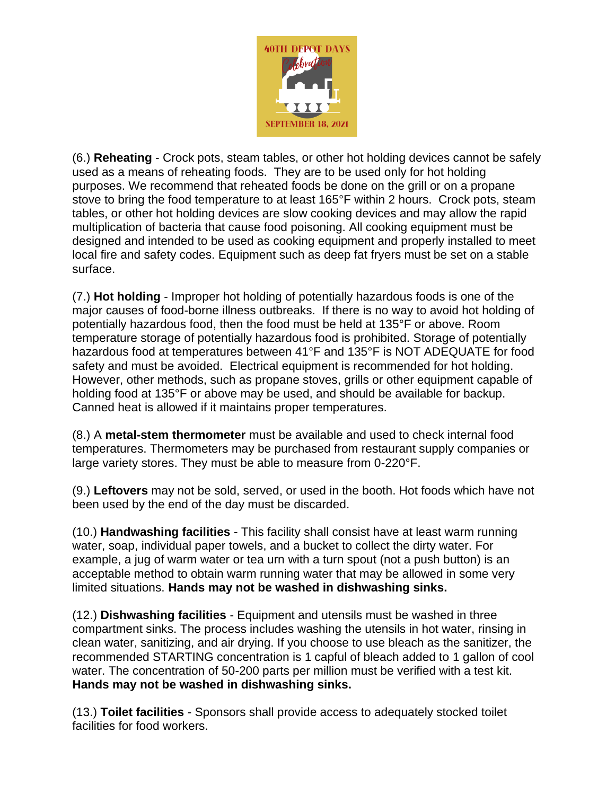

(6.) **Reheating** - Crock pots, steam tables, or other hot holding devices cannot be safely used as a means of reheating foods. They are to be used only for hot holding purposes. We recommend that reheated foods be done on the grill or on a propane stove to bring the food temperature to at least 165°F within 2 hours. Crock pots, steam tables, or other hot holding devices are slow cooking devices and may allow the rapid multiplication of bacteria that cause food poisoning. All cooking equipment must be designed and intended to be used as cooking equipment and properly installed to meet local fire and safety codes. Equipment such as deep fat fryers must be set on a stable surface.

(7.) **Hot holding** - Improper hot holding of potentially hazardous foods is one of the major causes of food-borne illness outbreaks. If there is no way to avoid hot holding of potentially hazardous food, then the food must be held at 135°F or above. Room temperature storage of potentially hazardous food is prohibited. Storage of potentially hazardous food at temperatures between 41°F and 135°F is NOT ADEQUATE for food safety and must be avoided. Electrical equipment is recommended for hot holding. However, other methods, such as propane stoves, grills or other equipment capable of holding food at 135°F or above may be used, and should be available for backup. Canned heat is allowed if it maintains proper temperatures.

(8.) A **metal-stem thermometer** must be available and used to check internal food temperatures. Thermometers may be purchased from restaurant supply companies or large variety stores. They must be able to measure from 0-220°F.

(9.) **Leftovers** may not be sold, served, or used in the booth. Hot foods which have not been used by the end of the day must be discarded.

(10.) **Handwashing facilities** - This facility shall consist have at least warm running water, soap, individual paper towels, and a bucket to collect the dirty water. For example, a jug of warm water or tea urn with a turn spout (not a push button) is an acceptable method to obtain warm running water that may be allowed in some very limited situations. **Hands may not be washed in dishwashing sinks.**

(12.) **Dishwashing facilities** - Equipment and utensils must be washed in three compartment sinks. The process includes washing the utensils in hot water, rinsing in clean water, sanitizing, and air drying. If you choose to use bleach as the sanitizer, the recommended STARTING concentration is 1 capful of bleach added to 1 gallon of cool water. The concentration of 50-200 parts per million must be verified with a test kit. **Hands may not be washed in dishwashing sinks.**

(13.) **Toilet facilities** - Sponsors shall provide access to adequately stocked toilet facilities for food workers.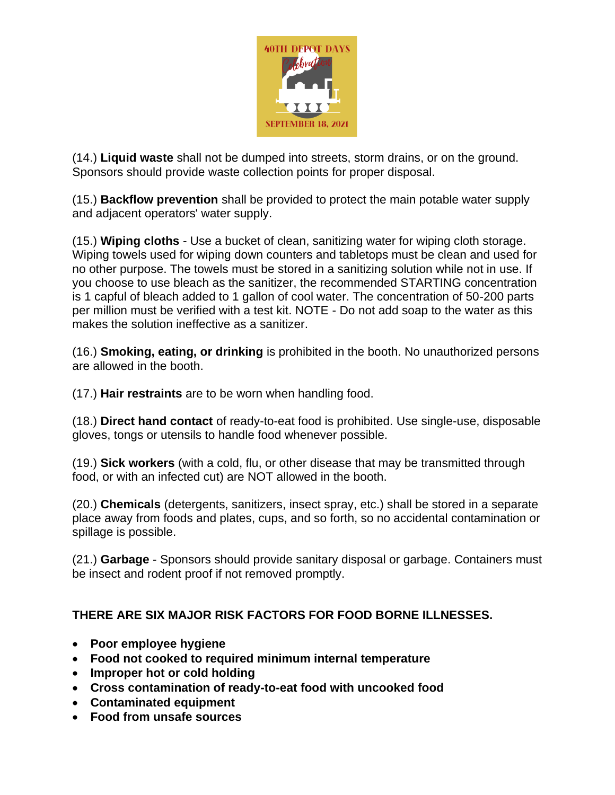

(14.) **Liquid waste** shall not be dumped into streets, storm drains, or on the ground. Sponsors should provide waste collection points for proper disposal.

(15.) **Backflow prevention** shall be provided to protect the main potable water supply and adjacent operators' water supply.

(15.) **Wiping cloths** - Use a bucket of clean, sanitizing water for wiping cloth storage. Wiping towels used for wiping down counters and tabletops must be clean and used for no other purpose. The towels must be stored in a sanitizing solution while not in use. If you choose to use bleach as the sanitizer, the recommended STARTING concentration is 1 capful of bleach added to 1 gallon of cool water. The concentration of 50-200 parts per million must be verified with a test kit. NOTE - Do not add soap to the water as this makes the solution ineffective as a sanitizer.

(16.) **Smoking, eating, or drinking** is prohibited in the booth. No unauthorized persons are allowed in the booth.

(17.) **Hair restraints** are to be worn when handling food.

(18.) **Direct hand contact** of ready-to-eat food is prohibited. Use single-use, disposable gloves, tongs or utensils to handle food whenever possible.

(19.) **Sick workers** (with a cold, flu, or other disease that may be transmitted through food, or with an infected cut) are NOT allowed in the booth.

(20.) **Chemicals** (detergents, sanitizers, insect spray, etc.) shall be stored in a separate place away from foods and plates, cups, and so forth, so no accidental contamination or spillage is possible.

(21.) **Garbage** - Sponsors should provide sanitary disposal or garbage. Containers must be insect and rodent proof if not removed promptly.

# **THERE ARE SIX MAJOR RISK FACTORS FOR FOOD BORNE ILLNESSES.**

- **Poor employee hygiene**
- **Food not cooked to required minimum internal temperature**
- **Improper hot or cold holding**
- **Cross contamination of ready-to-eat food with uncooked food**
- **Contaminated equipment**
- **Food from unsafe sources**